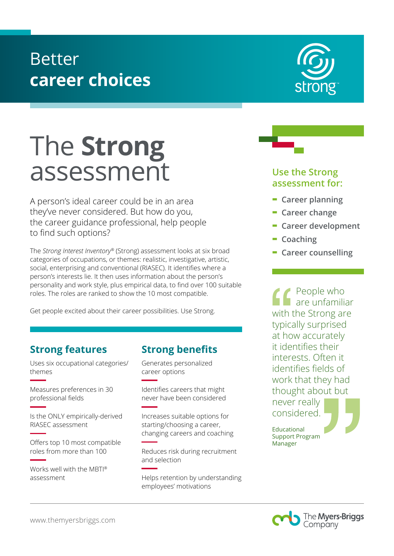## Better **career choices**

# The **Strong** assessment

A person's ideal career could be in an area they've never considered. But how do you, the career guidance professional, help people to find such options?

The *Strong Interest Inventory®* (Strong) assessment looks at six broad categories of occupations, or themes: realistic, investigative, artistic, social, enterprising and conventional (RIASEC). It identifies where a person's interests lie. It then uses information about the person's personality and work style, plus empirical data, to find over 100 suitable roles. The roles are ranked to show the 10 most compatible.

Get people excited about their career possibilities. Use Strong.

## **Strong features**

Uses six occupational categories/ themes

Measures preferences in 30 professional fields

Is the ONLY empirically-derived RIASEC assessment

Offers top 10 most compatible roles from more than 100

Works well with the MBTI® assessment

### **Strong benefits**

Generates personalized career options

Identifies careers that might never have been considered

Increases suitable options for starting/choosing a career, changing careers and coaching

Reduces risk during recruitment and selection

Helps retention by understanding employees' motivations



### **Use the Strong assessment for:**

- **- Career planning**
- **- Career change**
- **- Career development**
- **- Coaching**
- **- Career counselling**

People who are unfamiliar with the Strong are typically surprised at how accurately it identifies their interests. Often it identifies fields of work that they had thought about but never really

considered.

Educational Support Program Manager